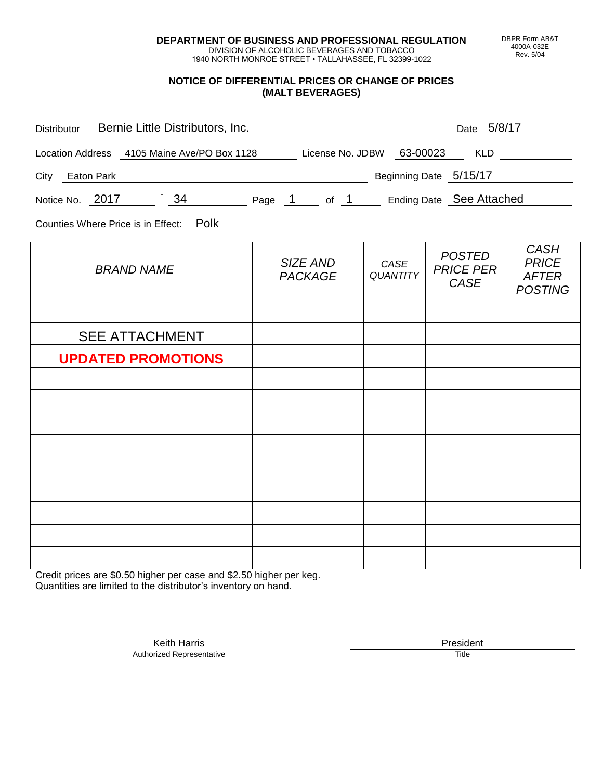**DEPARTMENT OF BUSINESS AND PROFESSIONAL REGULATION** DIVISION OF ALCOHOLIC BEVERAGES AND TOBACCO

1940 NORTH MONROE STREET • TALLAHASSEE, FL 32399-1022

#### **NOTICE OF DIFFERENTIAL PRICES OR CHANGE OF PRICES (MALT BEVERAGES)**

| Distributor Bernie Little Distributors, Inc.                              | <u> 1980 - Johann Barbara, martin amerikan personal (</u> |                         | Date 5/8/17                               |                                                               |
|---------------------------------------------------------------------------|-----------------------------------------------------------|-------------------------|-------------------------------------------|---------------------------------------------------------------|
| Location Address 4105 Maine Ave/PO Box 1128 License No. JDBW 63-00023 KLD |                                                           |                         |                                           |                                                               |
| Beginning Date 5/15/17<br>City Eaton Park                                 |                                                           |                         |                                           |                                                               |
| Notice No. 2017 34 Page 1 of 1 Ending Date See Attached                   |                                                           |                         |                                           |                                                               |
| Counties Where Price is in Effect: Polk                                   |                                                           |                         |                                           |                                                               |
| <b>BRAND NAME</b>                                                         | SIZE AND<br><b>PACKAGE</b>                                | CASE<br><b>QUANTITY</b> | <b>POSTED</b><br><b>PRICE PER</b><br>CASE | <b>CASH</b><br><b>PRICE</b><br><b>AFTER</b><br><b>POSTING</b> |
|                                                                           |                                                           |                         |                                           |                                                               |
| <b>SEE ATTACHMENT</b>                                                     |                                                           |                         |                                           |                                                               |
| <b>UPDATED PROMOTIONS</b>                                                 |                                                           |                         |                                           |                                                               |
|                                                                           |                                                           |                         |                                           |                                                               |
|                                                                           |                                                           |                         |                                           |                                                               |
|                                                                           |                                                           |                         |                                           |                                                               |
|                                                                           |                                                           |                         |                                           |                                                               |
|                                                                           |                                                           |                         |                                           |                                                               |
|                                                                           |                                                           |                         |                                           |                                                               |
|                                                                           |                                                           |                         |                                           |                                                               |
|                                                                           |                                                           |                         |                                           |                                                               |

Credit prices are \$0.50 higher per case and \$2.50 higher per keg. Quantities are limited to the distributor's inventory on hand.

> Keith Harris **President** President **President** President **President** President **President** Authorized Representative

DBPR Form AB&T 4000A-032E Rev. 5/04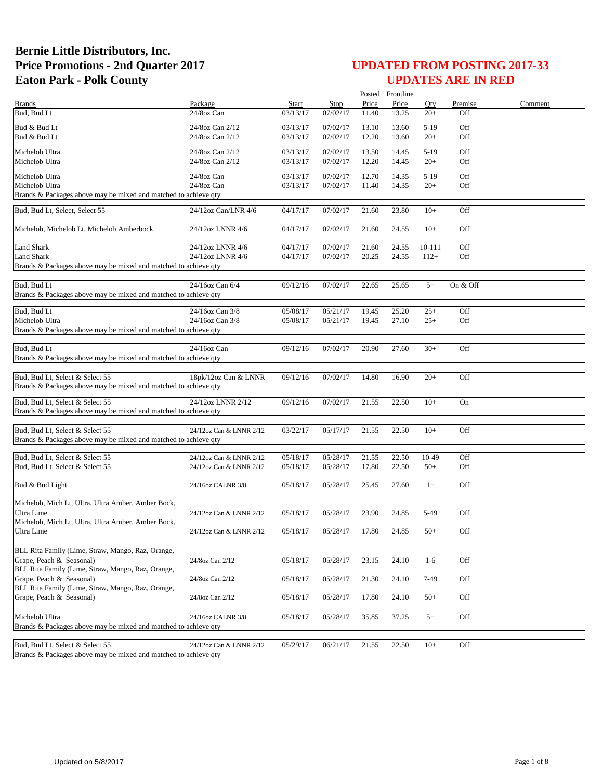|                                                                 |                         |              |             |       | Posted Frontline |        |          |         |
|-----------------------------------------------------------------|-------------------------|--------------|-------------|-------|------------------|--------|----------|---------|
| <b>Brands</b>                                                   | Package                 | <b>Start</b> | <b>Stop</b> | Price | Price            | Qty    | Premise  | Comment |
| Bud, Bud Lt                                                     | 24/8oz Can              | 03/13/17     | 07/02/17    | 11.40 | 13.25            | $20+$  | Off      |         |
| Bud & Bud Lt                                                    | 24/8oz Can 2/12         | 03/13/17     | 07/02/17    | 13.10 | 13.60            | $5-19$ | Off      |         |
| Bud & Bud Lt                                                    | 24/8oz Can 2/12         | 03/13/17     | 07/02/17    | 12.20 | 13.60            | $20+$  | Off      |         |
|                                                                 |                         |              |             |       |                  |        |          |         |
| Michelob Ultra                                                  | 24/8oz Can 2/12         | 03/13/17     | 07/02/17    | 13.50 | 14.45            | $5-19$ | Off      |         |
| Michelob Ultra                                                  | 24/8oz Can 2/12         | 03/13/17     | 07/02/17    | 12.20 | 14.45            | $20+$  | Off      |         |
| Michelob Ultra                                                  | 24/8oz Can              | 03/13/17     | 07/02/17    | 12.70 | 14.35            | $5-19$ | Off      |         |
| Michelob Ultra                                                  | 24/8oz Can              | 03/13/17     | 07/02/17    | 11.40 | 14.35            | $20+$  | Off      |         |
| Brands & Packages above may be mixed and matched to achieve qty |                         |              |             |       |                  |        |          |         |
|                                                                 |                         |              |             |       |                  |        |          |         |
| Bud, Bud Lt, Select, Select 55                                  | 24/12oz Can/LNR 4/6     | 04/17/17     | 07/02/17    | 21.60 | 23.80            | $10+$  | Off      |         |
|                                                                 |                         |              |             |       |                  |        |          |         |
| Michelob, Michelob Lt, Michelob Amberbock                       | 24/12oz LNNR 4/6        | 04/17/17     | 07/02/17    | 21.60 | 24.55            | $10+$  | Off      |         |
|                                                                 |                         |              |             |       |                  |        |          |         |
| Land Shark                                                      | 24/12oz LNNR 4/6        | 04/17/17     | 07/02/17    | 21.60 | 24.55            | 10-111 | Off      |         |
| Land Shark                                                      | 24/12oz LNNR 4/6        | 04/17/17     | 07/02/17    | 20.25 | 24.55            | $112+$ | Off      |         |
| Brands & Packages above may be mixed and matched to achieve qty |                         |              |             |       |                  |        |          |         |
|                                                                 |                         |              |             |       |                  |        |          |         |
| Bud, Bud Lt                                                     | 24/16oz Can 6/4         | 09/12/16     | 07/02/17    | 22.65 | 25.65            | $5+$   | On & Off |         |
| Brands & Packages above may be mixed and matched to achieve qty |                         |              |             |       |                  |        |          |         |
| Bud. Bud Lt                                                     | 24/16oz Can 3/8         | 05/08/17     | 05/21/17    | 19.45 | 25.20            | $25+$  | Off      |         |
| Michelob Ultra                                                  | 24/16oz Can 3/8         | 05/08/17     | 05/21/17    | 19.45 | 27.10            | $25+$  | Off      |         |
| Brands & Packages above may be mixed and matched to achieve qty |                         |              |             |       |                  |        |          |         |
|                                                                 |                         |              |             |       |                  |        |          |         |
| Bud, Bud Lt                                                     | 24/16oz Can             | 09/12/16     | 07/02/17    | 20.90 | 27.60            | $30+$  | Off      |         |
| Brands & Packages above may be mixed and matched to achieve qty |                         |              |             |       |                  |        |          |         |
|                                                                 |                         |              |             |       |                  |        |          |         |
| Bud, Bud Lt, Select & Select 55                                 | 18pk/12oz Can & LNNR    | 09/12/16     | 07/02/17    | 14.80 | 16.90            | $20+$  | Off      |         |
| Brands & Packages above may be mixed and matched to achieve qty |                         |              |             |       |                  |        |          |         |
|                                                                 |                         |              |             |       |                  |        |          |         |
| Bud, Bud Lt, Select & Select 55                                 | 24/12oz LNNR 2/12       | 09/12/16     | 07/02/17    | 21.55 | 22.50            | $10+$  | On       |         |
| Brands & Packages above may be mixed and matched to achieve qty |                         |              |             |       |                  |        |          |         |
|                                                                 |                         |              |             | 21.55 | 22.50            | $10+$  | Off      |         |
| Bud, Bud Lt, Select & Select 55                                 | 24/12oz Can & LNNR 2/12 | 03/22/17     | 05/17/17    |       |                  |        |          |         |
| Brands & Packages above may be mixed and matched to achieve qty |                         |              |             |       |                  |        |          |         |
| Bud, Bud Lt, Select & Select 55                                 | 24/12oz Can & LNNR 2/12 | 05/18/17     | 05/28/17    | 21.55 | 22.50            | 10-49  | Off      |         |
| Bud, Bud Lt, Select & Select 55                                 | 24/12oz Can & LNNR 2/12 | 05/18/17     | 05/28/17    | 17.80 | 22.50            | $50+$  | Off      |         |
|                                                                 |                         |              |             |       |                  |        |          |         |
| Bud & Bud Light                                                 | 24/16oz CALNR 3/8       | 05/18/17     | 05/28/17    | 25.45 | 27.60            | $1+$   | Off      |         |
|                                                                 |                         |              |             |       |                  |        |          |         |
| Michelob, Mich Lt, Ultra, Ultra Amber, Amber Bock,              |                         |              |             |       |                  |        |          |         |
| Ultra Lime                                                      | 24/12oz Can & LNNR 2/12 | 05/18/17     | 05/28/17    | 23.90 | 24.85            | 5-49   | Off      |         |
| Michelob, Mich Lt, Ultra, Ultra Amber, Amber Bock,              |                         |              |             |       |                  |        |          |         |
| Ultra Lime                                                      | 24/12oz Can & LNNR 2/12 | 05/18/17     | 05/28/17    | 17.80 | 24.85            | $50+$  | Off      |         |
|                                                                 |                         |              |             |       |                  |        |          |         |
| BLL Rita Family (Lime, Straw, Mango, Raz, Orange,               |                         |              |             |       |                  |        |          |         |
| Grape, Peach & Seasonal)                                        | 24/8oz Can 2/12         | 05/18/17     | 05/28/17    | 23.15 | 24.10            | $1-6$  | Off      |         |
| BLL Rita Family (Lime, Straw, Mango, Raz, Orange,               |                         |              |             |       |                  |        |          |         |
| Grape, Peach & Seasonal)                                        | 24/8oz Can 2/12         | 05/18/17     | 05/28/17    | 21.30 | 24.10            | 7-49   | Off      |         |
| BLL Rita Family (Lime, Straw, Mango, Raz, Orange,               |                         |              |             |       |                  |        |          |         |
| Grape, Peach & Seasonal)                                        | 24/8oz Can 2/12         | 05/18/17     | 05/28/17    | 17.80 | 24.10            | $50+$  | Off      |         |
|                                                                 |                         |              |             |       |                  |        |          |         |
| Michelob Ultra                                                  | 24/16oz CALNR 3/8       | 05/18/17     | 05/28/17    | 35.85 | 37.25            | $5+$   | Off      |         |
| Brands & Packages above may be mixed and matched to achieve qty |                         |              |             |       |                  |        |          |         |
|                                                                 |                         |              |             |       |                  |        |          |         |
| Bud, Bud Lt, Select & Select 55                                 | 24/12oz Can & LNNR 2/12 | 05/29/17     | 06/21/17    | 21.55 | 22.50            | $10+$  | Off      |         |
| Brands & Packages above may be mixed and matched to achieve qty |                         |              |             |       |                  |        |          |         |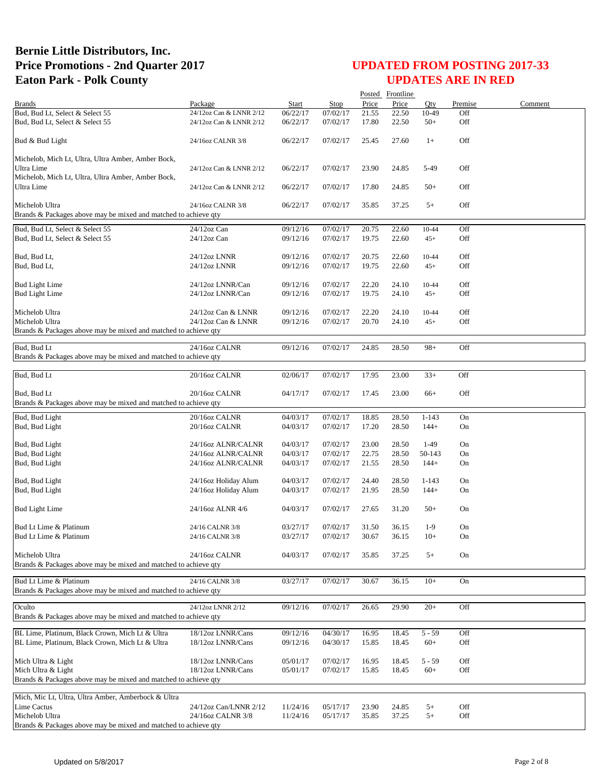|                                                                 |                                            |                      |                      |                | Posted Frontline |                |            |         |
|-----------------------------------------------------------------|--------------------------------------------|----------------------|----------------------|----------------|------------------|----------------|------------|---------|
| <b>Brands</b>                                                   | Package                                    | Start                | Stop                 | Price          | Price            | Oty            | Premise    | Comment |
| Bud, Bud Lt, Select & Select 55                                 | 24/12oz Can & LNNR 2/12                    | 06/22/17             | 07/02/17             | 21.55          | 22.50            | 10-49          | Off        |         |
| Bud, Bud Lt, Select & Select 55                                 | 24/12oz Can & LNNR 2/12                    | 06/22/17             | 07/02/17             | 17.80          | 22.50            | $50+$          | Off        |         |
| Bud & Bud Light                                                 | 24/16oz CALNR 3/8                          | 06/22/17             | 07/02/17             | 25.45          | 27.60            | $1+$           | Off        |         |
| Michelob, Mich Lt, Ultra, Ultra Amber, Amber Bock,              |                                            |                      |                      |                |                  |                |            |         |
| Ultra Lime                                                      | 24/12oz Can & LNNR 2/12                    | 06/22/17             | 07/02/17             | 23.90          | 24.85            | 5-49           | Off        |         |
| Michelob, Mich Lt, Ultra, Ultra Amber, Amber Bock,              |                                            |                      |                      |                |                  |                |            |         |
| <b>Ultra Lime</b>                                               | 24/12oz Can & LNNR 2/12                    | 06/22/17             | 07/02/17             | 17.80          | 24.85            | $50+$          | Off        |         |
| Michelob Ultra                                                  | 24/16oz CALNR 3/8                          | 06/22/17             | 07/02/17             | 35.85          | 37.25            | $5+$           | Off        |         |
| Brands & Packages above may be mixed and matched to achieve qty |                                            |                      |                      |                |                  |                |            |         |
| Bud, Bud Lt, Select & Select 55                                 | 24/12oz Can                                | 09/12/16             | 07/02/17             | 20.75          | 22.60            | 10-44          | Off        |         |
| Bud, Bud Lt, Select & Select 55                                 | $24/12$ oz Can                             | 09/12/16             | 07/02/17             | 19.75          | 22.60            | $45+$          | Off        |         |
| Bud, Bud Lt,                                                    | 24/12oz LNNR                               |                      | 07/02/17             | 20.75          | 22.60            | 10-44          | Off        |         |
| Bud, Bud Lt,                                                    | 24/12oz LNNR                               | 09/12/16<br>09/12/16 | 07/02/17             | 19.75          | 22.60            | $45+$          | Off        |         |
|                                                                 |                                            |                      |                      |                |                  |                |            |         |
| <b>Bud Light Lime</b>                                           | 24/12oz LNNR/Can                           | 09/12/16             | 07/02/17             | 22.20          | 24.10            | 10-44          | Off        |         |
| <b>Bud Light Lime</b>                                           | 24/12oz LNNR/Can                           | 09/12/16             | 07/02/17             | 19.75          | 24.10            | $45+$          | Off        |         |
| Michelob Ultra                                                  | 24/12oz Can & LNNR                         |                      | 07/02/17             |                |                  |                | Off        |         |
| Michelob Ultra                                                  | 24/12oz Can & LNNR                         | 09/12/16<br>09/12/16 | 07/02/17             | 22.20<br>20.70 | 24.10<br>24.10   | 10-44<br>$45+$ | Off        |         |
| Brands & Packages above may be mixed and matched to achieve qty |                                            |                      |                      |                |                  |                |            |         |
|                                                                 |                                            |                      |                      |                |                  |                |            |         |
| Bud, Bud Lt                                                     | 24/16oz CALNR                              | 09/12/16             | 07/02/17             | 24.85          | 28.50            | $98+$          | Off        |         |
| Brands & Packages above may be mixed and matched to achieve qty |                                            |                      |                      |                |                  |                |            |         |
| Bud, Bud Lt                                                     | 20/16oz CALNR                              | 02/06/17             | 07/02/17             | 17.95          | 23.00            | $33+$          | Off        |         |
|                                                                 |                                            |                      |                      |                |                  |                |            |         |
| Bud, Bud Lt                                                     | 20/16oz CALNR                              | 04/17/17             | 07/02/17             | 17.45          | 23.00            | $66+$          | Off        |         |
| Brands & Packages above may be mixed and matched to achieve qty |                                            |                      |                      |                |                  |                |            |         |
| Bud, Bud Light                                                  | 20/16oz CALNR                              | 04/03/17             | 07/02/17             | 18.85          | 28.50            | $1 - 143$      | On         |         |
| Bud, Bud Light                                                  | 20/16oz CALNR                              | 04/03/17             | 07/02/17             | 17.20          | 28.50            | $144+$         | On         |         |
|                                                                 |                                            |                      |                      |                |                  | $1-49$         |            |         |
| Bud, Bud Light<br>Bud, Bud Light                                | 24/16oz ALNR/CALNR<br>24/16oz ALNR/CALNR   | 04/03/17<br>04/03/17 | 07/02/17<br>07/02/17 | 23.00<br>22.75 | 28.50<br>28.50   | 50-143         | On<br>On   |         |
| Bud, Bud Light                                                  | 24/16oz ALNR/CALNR                         | 04/03/17             | 07/02/17             | 21.55          | 28.50            | $144+$         | On         |         |
|                                                                 |                                            |                      |                      |                |                  |                |            |         |
| Bud, Bud Light                                                  | 24/16oz Holiday Alum                       | 04/03/17             | 07/02/17             | 24.40          | 28.50            | $1 - 143$      | On         |         |
| Bud, Bud Light                                                  | 24/16oz Holiday Alum                       | 04/03/17             | 07/02/17             | 21.95          | 28.50            | $144+$         | On         |         |
| <b>Bud Light Lime</b>                                           | 24/16oz ALNR 4/6                           | 04/03/17             | 07/02/17             | 27.65          | 31.20            | $50+$          | On         |         |
|                                                                 |                                            |                      |                      |                |                  |                |            |         |
| Bud Lt Lime & Platinum                                          | 24/16 CALNR 3/8                            | 03/27/17             | 07/02/17             | 31.50          | 36.15            | $1-9$          | On         |         |
| Bud Lt Lime & Platinum                                          | 24/16 CALNR 3/8                            | 03/27/17             | 07/02/17             | 30.67          | 36.15            | $10+$          | On         |         |
|                                                                 |                                            |                      |                      |                |                  |                |            |         |
| Michelob Ultra                                                  | 24/16oz CALNR                              | 04/03/17             | 07/02/17             | 35.85          | 37.25            | $5+$           | On         |         |
| Brands & Packages above may be mixed and matched to achieve gty |                                            |                      |                      |                |                  |                |            |         |
| Bud Lt Lime & Platinum                                          | 24/16 CALNR 3/8                            | 03/27/17             | 07/02/17             | 30.67          | 36.15            | $10+$          | On         |         |
| Brands & Packages above may be mixed and matched to achieve qty |                                            |                      |                      |                |                  |                |            |         |
| Oculto                                                          | 24/12oz LNNR 2/12                          | 09/12/16             | 07/02/17             | 26.65          | 29.90            | $20+$          | Off        |         |
| Brands & Packages above may be mixed and matched to achieve qty |                                            |                      |                      |                |                  |                |            |         |
|                                                                 |                                            |                      |                      |                |                  |                |            |         |
| BL Lime, Platinum, Black Crown, Mich Lt & Ultra                 | 18/12oz LNNR/Cans                          | 09/12/16             | 04/30/17             | 16.95          | 18.45            | $5 - 59$       | Off        |         |
| BL Lime, Platinum, Black Crown, Mich Lt & Ultra                 | 18/12oz LNNR/Cans                          | 09/12/16             | 04/30/17             | 15.85          | 18.45            | $60+$          | Off        |         |
| Mich Ultra & Light                                              | 18/12oz LNNR/Cans                          | 05/01/17             | 07/02/17             | 16.95          | 18.45            | 5 - 59         | Off        |         |
| Mich Ultra & Light                                              | 18/12oz LNNR/Cans                          | 05/01/17             | 07/02/17             | 15.85          | 18.45            | $60+$          | Off        |         |
| Brands & Packages above may be mixed and matched to achieve qty |                                            |                      |                      |                |                  |                |            |         |
|                                                                 |                                            |                      |                      |                |                  |                |            |         |
| Mich, Mic Lt, Ultra, Ultra Amber, Amberbock & Ultra             |                                            |                      |                      |                |                  |                |            |         |
| Lime Cactus<br>Michelob Ultra                                   | 24/12oz Can/LNNR 2/12<br>24/16oz CALNR 3/8 | 11/24/16<br>11/24/16 | 05/17/17<br>05/17/17 | 23.90<br>35.85 | 24.85<br>37.25   | $5+$<br>$5+$   | Off<br>Off |         |
| Brands & Packages above may be mixed and matched to achieve qty |                                            |                      |                      |                |                  |                |            |         |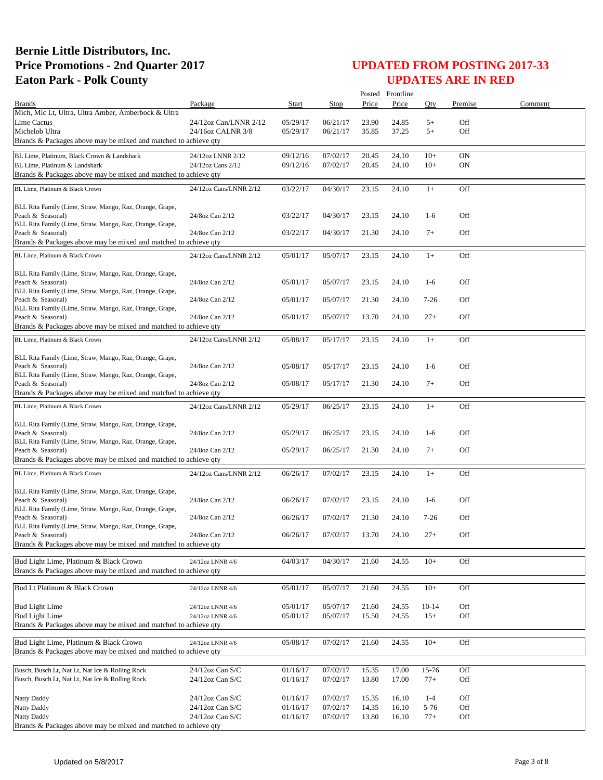|                                                                                                           |                                            |                      |                      |                | Posted Frontline |                     |            |         |
|-----------------------------------------------------------------------------------------------------------|--------------------------------------------|----------------------|----------------------|----------------|------------------|---------------------|------------|---------|
| <b>Brands</b>                                                                                             | Package                                    | Start                | Stop                 | Price          | Price            | Oty                 | Premise    | Comment |
| Mich, Mic Lt, Ultra, Ultra Amber, Amberbock & Ultra                                                       |                                            |                      |                      |                |                  |                     |            |         |
| Lime Cactus<br>Michelob Ultra                                                                             | 24/12oz Can/LNNR 2/12<br>24/16oz CALNR 3/8 | 05/29/17<br>05/29/17 | 06/21/17<br>06/21/17 | 23.90<br>35.85 | 24.85<br>37.25   | $5+$<br>$5+$        | Off<br>Off |         |
| Brands & Packages above may be mixed and matched to achieve gty                                           |                                            |                      |                      |                |                  |                     |            |         |
|                                                                                                           |                                            |                      |                      |                |                  |                     |            |         |
| BL Lime, Platinum, Black Crown & Landshark<br>BL Lime, Platinum & Landshark                               | 24/12oz LNNR 2/12<br>24/12oz Cans 2/12     | 09/12/16<br>09/12/16 | 07/02/17<br>07/02/17 | 20.45<br>20.45 | 24.10<br>24.10   | $10+$<br>$10+$      | ON<br>ON   |         |
| Brands & Packages above may be mixed and matched to achieve qty                                           |                                            |                      |                      |                |                  |                     |            |         |
| BL Lime, Platinum & Black Crown                                                                           | 24/12oz Cans/LNNR 2/12                     | 03/22/17             | 04/30/17             | 23.15          | 24.10            | $1+$                | Off        |         |
|                                                                                                           |                                            |                      |                      |                |                  |                     |            |         |
| BLL Rita Family (Lime, Straw, Mango, Raz, Orange, Grape,                                                  |                                            |                      |                      |                |                  |                     |            |         |
| Peach & Seasonal)                                                                                         | 24/8oz Can 2/12                            | 03/22/17             | 04/30/17             | 23.15          | 24.10            | $1-6$               | Off        |         |
| BLL Rita Family (Lime, Straw, Mango, Raz, Orange, Grape,<br>Peach & Seasonal)                             | 24/8oz Can 2/12                            | 03/22/17             | 04/30/17             | 21.30          | 24.10            | $7+$                | Off        |         |
| Brands & Packages above may be mixed and matched to achieve qty                                           |                                            |                      |                      |                |                  |                     |            |         |
| BL Lime, Platinum & Black Crown                                                                           | 24/12oz Cans/LNNR 2/12                     | 05/01/17             | 05/07/17             | 23.15          | 24.10            | $1+$                | Off        |         |
|                                                                                                           |                                            |                      |                      |                |                  |                     |            |         |
| BLL Rita Family (Lime, Straw, Mango, Raz, Orange, Grape,                                                  |                                            |                      |                      |                |                  |                     |            |         |
| Peach & Seasonal)<br>BLL Rita Family (Lime, Straw, Mango, Raz, Orange, Grape,                             | 24/8oz Can 2/12                            | 05/01/17             | 05/07/17             | 23.15          | 24.10            | $1-6$               | Off        |         |
| Peach & Seasonal)                                                                                         | 24/8oz Can 2/12                            | 05/01/17             | 05/07/17             | 21.30          | 24.10            | $7-26$              | Off        |         |
| BLL Rita Family (Lime, Straw, Mango, Raz, Orange, Grape,                                                  |                                            |                      |                      |                |                  |                     |            |         |
| Peach & Seasonal)                                                                                         | 24/8oz Can 2/12                            | 05/01/17             | 05/07/17             | 13.70          | 24.10            | $27+$               | Off        |         |
| Brands & Packages above may be mixed and matched to achieve gty                                           |                                            |                      |                      |                |                  |                     |            |         |
| BL Lime, Platinum & Black Crown                                                                           | 24/12oz Cans/LNNR 2/12                     | 05/08/17             | 05/17/17             | 23.15          | 24.10            | $1+$                | Off        |         |
| BLL Rita Family (Lime, Straw, Mango, Raz, Orange, Grape,                                                  |                                            |                      |                      |                |                  |                     |            |         |
| Peach & Seasonal)                                                                                         | 24/8oz Can 2/12                            | 05/08/17             | 05/17/17             | 23.15          | 24.10            | $1-6$               | Off        |         |
| BLL Rita Family (Lime, Straw, Mango, Raz, Orange, Grape,                                                  |                                            |                      |                      |                |                  |                     |            |         |
| Peach & Seasonal)                                                                                         | 24/8oz Can 2/12                            | 05/08/17             | 05/17/17             | 21.30          | 24.10            | $7+$                | Off        |         |
| Brands & Packages above may be mixed and matched to achieve qty                                           |                                            |                      |                      |                |                  |                     |            |         |
| BL Lime, Platinum & Black Crown                                                                           | 24/12oz Cans/LNNR 2/12                     | 05/29/17             | 06/25/17             | 23.15          | 24.10            | $1+$                | Off        |         |
| BLL Rita Family (Lime, Straw, Mango, Raz, Orange, Grape,                                                  |                                            |                      |                      |                |                  |                     |            |         |
| Peach & Seasonal)                                                                                         | 24/8oz Can 2/12                            | 05/29/17             | 06/25/17             | 23.15          | 24.10            | $1-6$               | Off        |         |
| BLL Rita Family (Lime, Straw, Mango, Raz, Orange, Grape,                                                  |                                            |                      |                      |                |                  |                     |            |         |
| Peach & Seasonal)                                                                                         | 24/8oz Can 2/12                            | 05/29/17             | 06/25/17             | 21.30          | 24.10            | $7+$                | Off        |         |
| Brands & Packages above may be mixed and matched to achieve qty                                           |                                            |                      |                      |                |                  |                     |            |         |
| BL Lime, Platinum & Black Crown                                                                           | 24/12oz Cans/LNNR 2/12                     | 06/26/17             | 07/02/17             | 23.15          | 24.10            | $1+$                | Off        |         |
| BLL Rita Family (Lime, Straw, Mango, Raz, Orange, Grape,                                                  |                                            |                      |                      |                |                  |                     |            |         |
| Peach & Seasonal)                                                                                         | 24/8oz Can 2/12                            | 06/26/17             | 07/02/17             | 23.15          | 24.10            | $1-6$               | Off        |         |
| BLL Rita Family (Lime, Straw, Mango, Raz, Orange, Grape,                                                  |                                            |                      |                      |                |                  |                     |            |         |
| Peach & Seasonal)                                                                                         | 24/8oz Can 2/12                            | 06/26/17             | 07/02/17             | 21.30          | 24.10            | $7-26$              | Off        |         |
| BLL Rita Family (Lime, Straw, Mango, Raz, Orange, Grape,<br>Peach & Seasonal)                             | 24/8oz Can 2/12                            | 06/26/17             | 07/02/17             | 13.70          | 24.10            | $27+$               | Off        |         |
| Brands & Packages above may be mixed and matched to achieve qty                                           |                                            |                      |                      |                |                  |                     |            |         |
|                                                                                                           |                                            |                      |                      |                |                  |                     |            |         |
| Bud Light Lime, Platinum & Black Crown<br>Brands & Packages above may be mixed and matched to achieve qty | 24/12oz LNNR 4/6                           | 04/03/17             | 04/30/17             | 21.60          | 24.55            | $10+$               | Off        |         |
|                                                                                                           |                                            |                      |                      |                |                  |                     |            |         |
| Bud Lt Platinum & Black Crown                                                                             | 24/12oz LNNR 4/6                           | 05/01/17             | 05/07/17             | 21.60          | 24.55            | $10+$               | Off        |         |
|                                                                                                           |                                            |                      |                      |                |                  |                     |            |         |
| <b>Bud Light Lime</b><br><b>Bud Light Lime</b>                                                            | 24/12oz LNNR 4/6<br>24/12oz LNNR 4/6       | 05/01/17<br>05/01/17 | 05/07/17<br>05/07/17 | 21.60<br>15.50 | 24.55<br>24.55   | $10-14$<br>$15+$    | Off<br>Off |         |
| Brands & Packages above may be mixed and matched to achieve qty                                           |                                            |                      |                      |                |                  |                     |            |         |
|                                                                                                           |                                            |                      |                      |                |                  |                     |            |         |
| Bud Light Lime, Platinum & Black Crown<br>Brands & Packages above may be mixed and matched to achieve gty | 24/12oz LNNR 4/6                           | 05/08/17             | 07/02/17             | 21.60          | 24.55            | $10+$               | Off        |         |
|                                                                                                           |                                            |                      |                      |                |                  |                     |            |         |
| Busch, Busch Lt, Nat Lt, Nat Ice & Rolling Rock                                                           | $24/12$ oz Can S/C                         | 01/16/17             | 07/02/17             | 15.35          | 17.00            | 15-76               | Off        |         |
| Busch, Busch Lt, Nat Lt, Nat Ice & Rolling Rock                                                           | 24/12oz Can S/C                            | 01/16/17             | 07/02/17             | 13.80          | 17.00            | $77+$               | Off        |         |
|                                                                                                           |                                            |                      |                      |                |                  |                     |            |         |
| Natty Daddy<br>Natty Daddy                                                                                | 24/12oz Can S/C<br>$24/12$ oz Can S/C      | 01/16/17<br>01/16/17 | 07/02/17<br>07/02/17 | 15.35<br>14.35 | 16.10<br>16.10   | $1 - 4$<br>$5 - 76$ | Off<br>Off |         |
| Natty Daddy                                                                                               | $24/12$ oz Can S/C                         | 01/16/17             | 07/02/17             | 13.80          | 16.10            | $77+$               | Off        |         |
| Brands & Packages above may be mixed and matched to achieve qty                                           |                                            |                      |                      |                |                  |                     |            |         |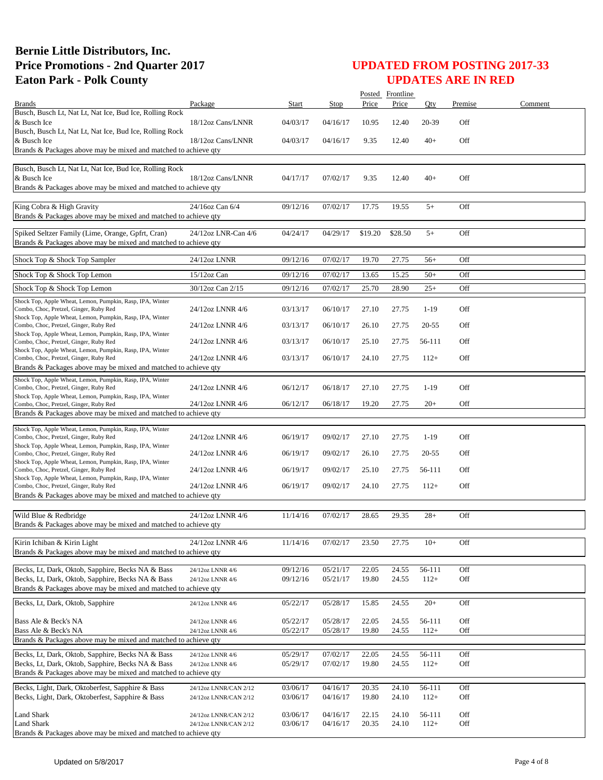|                                                                                                                      |                       |          |          |         | Posted Frontline |           |         |         |
|----------------------------------------------------------------------------------------------------------------------|-----------------------|----------|----------|---------|------------------|-----------|---------|---------|
| <b>Brands</b>                                                                                                        | Package               | Start    | Stop     | Price   | Price            | Oty       | Premise | Comment |
| Busch, Busch Lt, Nat Lt, Nat Ice, Bud Ice, Rolling Rock<br>& Busch Ice                                               | 18/12oz Cans/LNNR     | 04/03/17 | 04/16/17 | 10.95   | 12.40            | 20-39     | Off     |         |
| Busch, Busch Lt, Nat Lt, Nat Ice, Bud Ice, Rolling Rock<br>& Busch Ice                                               | 18/12oz Cans/LNNR     | 04/03/17 | 04/16/17 | 9.35    | 12.40            | $40+$     | Off     |         |
| Brands & Packages above may be mixed and matched to achieve qty                                                      |                       |          |          |         |                  |           |         |         |
| Busch, Busch Lt, Nat Lt, Nat Ice, Bud Ice, Rolling Rock                                                              |                       |          |          |         |                  |           |         |         |
| & Busch Ice                                                                                                          | 18/12oz Cans/LNNR     | 04/17/17 | 07/02/17 | 9.35    | 12.40            | $40+$     | Off     |         |
| Brands & Packages above may be mixed and matched to achieve qty                                                      |                       |          |          |         |                  |           |         |         |
|                                                                                                                      |                       |          |          |         |                  |           |         |         |
| King Cobra & High Gravity<br>Brands & Packages above may be mixed and matched to achieve qty                         | 24/16oz Can 6/4       | 09/12/16 | 07/02/17 | 17.75   | 19.55            | $5+$      | Off     |         |
| Spiked Seltzer Family (Lime, Orange, Gpfrt, Cran)<br>Brands & Packages above may be mixed and matched to achieve qty | 24/12oz LNR-Can 4/6   | 04/24/17 | 04/29/17 | \$19.20 | \$28.50          | $5+$      | Off     |         |
|                                                                                                                      |                       |          |          |         |                  |           |         |         |
| Shock Top & Shock Top Sampler                                                                                        | 24/12oz LNNR          | 09/12/16 | 07/02/17 | 19.70   | 27.75            | $56+$     | Off     |         |
| Shock Top & Shock Top Lemon                                                                                          | 15/12oz Can           | 09/12/16 | 07/02/17 | 13.65   | 15.25            | $50+$     | Off     |         |
| Shock Top & Shock Top Lemon                                                                                          | 30/12oz Can 2/15      | 09/12/16 | 07/02/17 | 25.70   | 28.90            | $25+$     | Off     |         |
| Shock Top, Apple Wheat, Lemon, Pumpkin, Rasp, IPA, Winter                                                            |                       |          |          |         |                  |           |         |         |
| Combo, Choc, Pretzel, Ginger, Ruby Red                                                                               | 24/12oz LNNR 4/6      | 03/13/17 | 06/10/17 | 27.10   | 27.75            | $1-19$    | Off     |         |
| Shock Top, Apple Wheat, Lemon, Pumpkin, Rasp, IPA, Winter<br>Combo, Choc, Pretzel, Ginger, Ruby Red                  | 24/12oz LNNR 4/6      | 03/13/17 | 06/10/17 | 26.10   | 27.75            | $20 - 55$ | Off     |         |
| Shock Top, Apple Wheat, Lemon, Pumpkin, Rasp, IPA, Winter                                                            |                       |          |          |         |                  |           |         |         |
| Combo, Choc, Pretzel, Ginger, Ruby Red<br>Shock Top, Apple Wheat, Lemon, Pumpkin, Rasp, IPA, Winter                  | 24/12oz LNNR 4/6      | 03/13/17 | 06/10/17 | 25.10   | 27.75            | 56-111    | Off     |         |
| Combo, Choc, Pretzel, Ginger, Ruby Red                                                                               | 24/12oz LNNR 4/6      | 03/13/17 | 06/10/17 | 24.10   | 27.75            | $112+$    | Off     |         |
| Brands & Packages above may be mixed and matched to achieve qty                                                      |                       |          |          |         |                  |           |         |         |
| Shock Top, Apple Wheat, Lemon, Pumpkin, Rasp, IPA, Winter                                                            |                       |          |          |         |                  |           |         |         |
| Combo, Choc, Pretzel, Ginger, Ruby Red<br>Shock Top, Apple Wheat, Lemon, Pumpkin, Rasp, IPA, Winter                  | 24/12oz LNNR 4/6      | 06/12/17 | 06/18/17 | 27.10   | 27.75            | $1-19$    | Off     |         |
| Combo, Choc, Pretzel, Ginger, Ruby Red                                                                               | 24/12oz LNNR 4/6      | 06/12/17 | 06/18/17 | 19.20   | 27.75            | $20+$     | Off     |         |
| Brands & Packages above may be mixed and matched to achieve qty                                                      |                       |          |          |         |                  |           |         |         |
| Shock Top, Apple Wheat, Lemon, Pumpkin, Rasp, IPA, Winter                                                            |                       |          |          |         |                  |           |         |         |
| Combo, Choc, Pretzel, Ginger, Ruby Red<br>Shock Top, Apple Wheat, Lemon, Pumpkin, Rasp, IPA, Winter                  | 24/12oz LNNR 4/6      | 06/19/17 | 09/02/17 | 27.10   | 27.75            | $1-19$    | Off     |         |
| Combo, Choc, Pretzel, Ginger, Ruby Red                                                                               | 24/12oz LNNR 4/6      | 06/19/17 | 09/02/17 | 26.10   | 27.75            | $20 - 55$ | Off     |         |
| Shock Top, Apple Wheat, Lemon, Pumpkin, Rasp, IPA, Winter<br>Combo, Choc, Pretzel, Ginger, Ruby Red                  | 24/12oz LNNR 4/6      | 06/19/17 | 09/02/17 | 25.10   | 27.75            | 56-111    | Off     |         |
| Shock Top, Apple Wheat, Lemon, Pumpkin, Rasp, IPA, Winter                                                            |                       |          |          |         |                  |           |         |         |
| Combo, Choc, Pretzel, Ginger, Ruby Red                                                                               | 24/12oz LNNR 4/6      | 06/19/17 | 09/02/17 | 24.10   | 27.75            | $112+$    | Off     |         |
| Brands & Packages above may be mixed and matched to achieve qty                                                      |                       |          |          |         |                  |           |         |         |
| Wild Blue & Redbridge                                                                                                | 24/12oz LNNR 4/6      | 11/14/16 | 07/02/17 | 28.65   | 29.35            | $28+$     | Off     |         |
| Brands & Packages above may be mixed and matched to achieve qty                                                      |                       |          |          |         |                  |           |         |         |
|                                                                                                                      |                       |          |          |         |                  |           |         |         |
| Kirin Ichiban & Kirin Light<br>Brands & Packages above may be mixed and matched to achieve qty                       | 24/12oz LNNR 4/6      | 11/14/16 | 07/02/17 | 23.50   | 27.75            | $10+$     | Off     |         |
|                                                                                                                      |                       |          |          |         |                  |           |         |         |
| Becks, Lt, Dark, Oktob, Sapphire, Becks NA & Bass                                                                    | 24/12oz LNNR 4/6      | 09/12/16 | 05/21/17 | 22.05   | 24.55            | 56-111    | Off     |         |
| Becks, Lt, Dark, Oktob, Sapphire, Becks NA & Bass                                                                    | 24/12oz LNNR 4/6      | 09/12/16 | 05/21/17 | 19.80   | 24.55            | $112+$    | Off     |         |
| Brands & Packages above may be mixed and matched to achieve qty                                                      |                       |          |          |         |                  |           |         |         |
| Becks, Lt, Dark, Oktob, Sapphire                                                                                     | 24/12oz LNNR 4/6      | 05/22/17 | 05/28/17 | 15.85   | 24.55            | $20+$     | Off     |         |
| Bass Ale & Beck's NA                                                                                                 | 24/12oz LNNR 4/6      | 05/22/17 | 05/28/17 | 22.05   | 24.55            | 56-111    | Off     |         |
| Bass Ale & Beck's NA                                                                                                 | 24/12oz LNNR 4/6      | 05/22/17 | 05/28/17 | 19.80   | 24.55            | $112+$    | Off     |         |
| Brands & Packages above may be mixed and matched to achieve qty                                                      |                       |          |          |         |                  |           |         |         |
| Becks, Lt, Dark, Oktob, Sapphire, Becks NA & Bass                                                                    | 24/12oz LNNR 4/6      | 05/29/17 | 07/02/17 | 22.05   | 24.55            | 56-111    | Off     |         |
| Becks, Lt, Dark, Oktob, Sapphire, Becks NA & Bass                                                                    | 24/12oz LNNR 4/6      | 05/29/17 | 07/02/17 | 19.80   | 24.55            | $112+$    | Off     |         |
| Brands & Packages above may be mixed and matched to achieve qty                                                      |                       |          |          |         |                  |           |         |         |
| Becks, Light, Dark, Oktoberfest, Sapphire & Bass                                                                     | 24/12oz LNNR/CAN 2/12 | 03/06/17 | 04/16/17 | 20.35   | 24.10            | 56-111    | Off     |         |
| Becks, Light, Dark, Oktoberfest, Sapphire & Bass                                                                     | 24/12oz LNNR/CAN 2/12 | 03/06/17 | 04/16/17 | 19.80   | 24.10            | $112+$    | Off     |         |
| Land Shark                                                                                                           | 24/12oz LNNR/CAN 2/12 | 03/06/17 | 04/16/17 | 22.15   | 24.10            | 56-111    | Off     |         |
| <b>Land Shark</b>                                                                                                    | 24/12oz LNNR/CAN 2/12 | 03/06/17 | 04/16/17 | 20.35   | 24.10            | $112+$    | Off     |         |
| Brands & Packages above may be mixed and matched to achieve qty                                                      |                       |          |          |         |                  |           |         |         |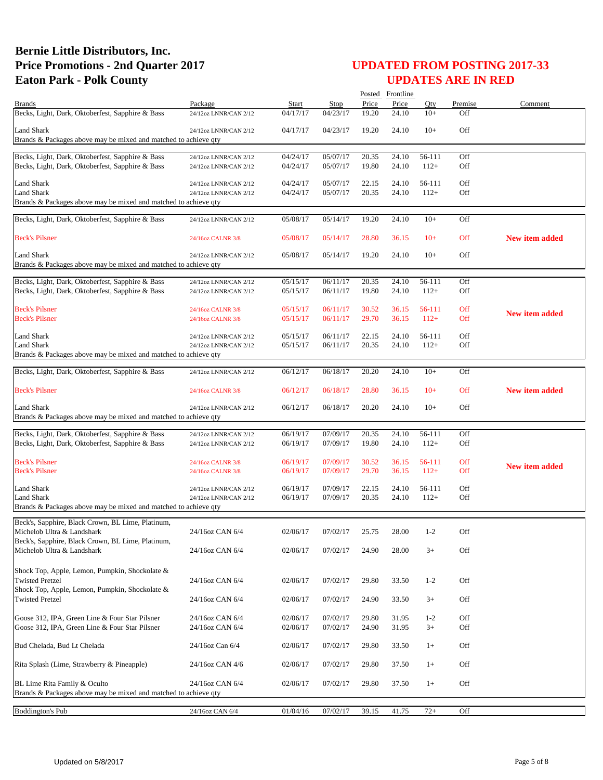|                                                                                                      |                                                |                      |                      |                | Posted Frontline |                  |                   |                       |
|------------------------------------------------------------------------------------------------------|------------------------------------------------|----------------------|----------------------|----------------|------------------|------------------|-------------------|-----------------------|
| <b>Brands</b>                                                                                        | Package                                        | Start                | Stop                 | Price          | Price            | Qty              | Premise           | Comment               |
| Becks, Light, Dark, Oktoberfest, Sapphire & Bass                                                     | 24/12oz LNNR/CAN 2/12                          | 04/17/17             | 04/23/17             | 19.20          | 24.10            | $10+$            | Off               |                       |
| Land Shark                                                                                           | 24/12oz LNNR/CAN 2/12                          | 04/17/17             | 04/23/17             | 19.20          | 24.10            | $10+$            | Off               |                       |
| Brands & Packages above may be mixed and matched to achieve qty                                      |                                                |                      |                      |                |                  |                  |                   |                       |
| Becks, Light, Dark, Oktoberfest, Sapphire & Bass                                                     | 24/12oz LNNR/CAN 2/12                          | 04/24/17             | 05/07/17             | 20.35          | 24.10            | 56-111           | Off               |                       |
| Becks, Light, Dark, Oktoberfest, Sapphire & Bass                                                     | 24/12oz LNNR/CAN 2/12                          | 04/24/17             | 05/07/17             | 19.80          | 24.10            | $112+$           | Off               |                       |
|                                                                                                      |                                                |                      |                      |                |                  |                  |                   |                       |
| Land Shark<br><b>Land Shark</b>                                                                      | 24/12oz LNNR/CAN 2/12<br>24/12oz LNNR/CAN 2/12 | 04/24/17<br>04/24/17 | 05/07/17<br>05/07/17 | 22.15<br>20.35 | 24.10<br>24.10   | 56-111<br>$112+$ | Off<br>Off        |                       |
| Brands & Packages above may be mixed and matched to achieve qty                                      |                                                |                      |                      |                |                  |                  |                   |                       |
|                                                                                                      |                                                |                      |                      |                |                  |                  |                   |                       |
| Becks, Light, Dark, Oktoberfest, Sapphire & Bass                                                     | 24/12oz LNNR/CAN 2/12                          | 05/08/17             | 05/14/17             | 19.20          | 24.10            | $10+$            | Off               |                       |
| <b>Beck's Pilsner</b>                                                                                | 24/16oz CALNR 3/8                              | 05/08/17             | 05/14/17             | 28.80          | 36.15            | $10+$            | Off               | <b>New item added</b> |
|                                                                                                      |                                                |                      |                      |                |                  |                  |                   |                       |
| <b>Land Shark</b>                                                                                    | 24/12oz LNNR/CAN 2/12                          | 05/08/17             | 05/14/17             | 19.20          | 24.10            | $10+$            | Off               |                       |
| Brands & Packages above may be mixed and matched to achieve qty                                      |                                                |                      |                      |                |                  |                  |                   |                       |
| Becks, Light, Dark, Oktoberfest, Sapphire & Bass                                                     | 24/12oz LNNR/CAN 2/12                          | 05/15/17             | 06/11/17             | 20.35          | 24.10            | 56-111           | Off               |                       |
| Becks, Light, Dark, Oktoberfest, Sapphire & Bass                                                     | 24/12oz LNNR/CAN 2/12                          | 05/15/17             | 06/11/17             | 19.80          | 24.10            | $112+$           | Off               |                       |
|                                                                                                      |                                                |                      |                      |                |                  |                  |                   |                       |
| <b>Beck's Pilsner</b><br><b>Beck's Pilsner</b>                                                       | 24/16oz CALNR 3/8<br>24/16oz CALNR 3/8         | 05/15/17<br>05/15/17 | 06/11/17<br>06/11/17 | 30.52<br>29.70 | 36.15<br>36.15   | 56-111<br>$112+$ | Off<br><b>Off</b> | <b>New item added</b> |
|                                                                                                      |                                                |                      |                      |                |                  |                  |                   |                       |
| <b>Land Shark</b>                                                                                    | 24/12oz LNNR/CAN 2/12                          | 05/15/17             | 06/11/17             | 22.15          | 24.10            | 56-111           | Off               |                       |
| Land Shark                                                                                           | 24/12oz LNNR/CAN 2/12                          | 05/15/17             | 06/11/17             | 20.35          | 24.10            | $112+$           | Off               |                       |
| Brands & Packages above may be mixed and matched to achieve qty                                      |                                                |                      |                      |                |                  |                  |                   |                       |
| Becks, Light, Dark, Oktoberfest, Sapphire & Bass                                                     | 24/12oz LNNR/CAN 2/12                          | 06/12/17             | 06/18/17             | 20.20          | 24.10            | $10+$            | Off               |                       |
|                                                                                                      |                                                |                      |                      |                |                  |                  |                   |                       |
| <b>Beck's Pilsner</b>                                                                                | 24/16oz CALNR 3/8                              | 06/12/17             | 06/18/17             | 28.80          | 36.15            | $10+$            | Off               | <b>New item added</b> |
| <b>Land Shark</b>                                                                                    | 24/12oz LNNR/CAN 2/12                          | 06/12/17             | 06/18/17             | 20.20          | 24.10            | $10+$            | Off               |                       |
| Brands & Packages above may be mixed and matched to achieve qty                                      |                                                |                      |                      |                |                  |                  |                   |                       |
|                                                                                                      |                                                |                      |                      | 20.35          | 24.10            | 56-111           | Off               |                       |
| Becks, Light, Dark, Oktoberfest, Sapphire & Bass<br>Becks, Light, Dark, Oktoberfest, Sapphire & Bass | 24/12oz LNNR/CAN 2/12<br>24/12oz LNNR/CAN 2/12 | 06/19/17<br>06/19/17 | 07/09/17<br>07/09/17 | 19.80          | 24.10            | $112+$           | Off               |                       |
|                                                                                                      |                                                |                      |                      |                |                  |                  |                   |                       |
| <b>Beck's Pilsner</b>                                                                                | 24/16oz CALNR 3/8                              | 06/19/17             | 07/09/17             | 30.52          | 36.15            | 56-111           | Off               | <b>New item added</b> |
| <b>Beck's Pilsner</b>                                                                                | 24/16oz CALNR 3/8                              | 06/19/17             | 07/09/17             | 29.70          | 36.15            | $112+$           | Off               |                       |
| <b>Land Shark</b>                                                                                    | 24/12oz LNNR/CAN 2/12                          | 06/19/17             | 07/09/17             | 22.15          | 24.10            | 56-111           | Off               |                       |
| <b>Land Shark</b>                                                                                    | 24/12oz LNNR/CAN 2/12                          | 06/19/17             | 07/09/17             | 20.35          | 24.10            | $112+$           | Off               |                       |
| Brands & Packages above may be mixed and matched to achieve qty                                      |                                                |                      |                      |                |                  |                  |                   |                       |
| Beck's, Sapphire, Black Crown, BL Lime, Platinum,                                                    |                                                |                      |                      |                |                  |                  |                   |                       |
| Michelob Ultra & Landshark                                                                           | 24/16oz CAN 6/4                                | 02/06/17             | 07/02/17             | 25.75          | 28.00            | $1 - 2$          | Off               |                       |
| Beck's, Sapphire, Black Crown, BL Lime, Platinum,                                                    |                                                |                      |                      |                |                  |                  |                   |                       |
| Michelob Ultra & Landshark                                                                           | 24/16oz CAN 6/4                                | 02/06/17             | 07/02/17             | 24.90          | 28.00            | $3+$             | Off               |                       |
|                                                                                                      |                                                |                      |                      |                |                  |                  |                   |                       |
| Shock Top, Apple, Lemon, Pumpkin, Shockolate &<br><b>Twisted Pretzel</b>                             | 24/16oz CAN 6/4                                | 02/06/17             | 07/02/17             | 29.80          | 33.50            | $1 - 2$          | Off               |                       |
| Shock Top, Apple, Lemon, Pumpkin, Shockolate &                                                       |                                                |                      |                      |                |                  |                  |                   |                       |
| <b>Twisted Pretzel</b>                                                                               | 24/16oz CAN 6/4                                | 02/06/17             | 07/02/17             | 24.90          | 33.50            | $3+$             | Off               |                       |
|                                                                                                      |                                                |                      |                      |                |                  |                  |                   |                       |
| Goose 312, IPA, Green Line & Four Star Pilsner                                                       | 24/16oz CAN 6/4                                | 02/06/17             | 07/02/17             | 29.80          | 31.95            | $1 - 2$          | Off               |                       |
| Goose 312, IPA, Green Line & Four Star Pilsner                                                       | 24/16oz CAN 6/4                                | 02/06/17             | 07/02/17             | 24.90          | 31.95            | $3+$             | Off               |                       |
| Bud Chelada, Bud Lt Chelada                                                                          | 24/16oz Can 6/4                                | 02/06/17             | 07/02/17             | 29.80          | 33.50            | $1+$             | Off               |                       |
|                                                                                                      |                                                |                      |                      |                |                  |                  |                   |                       |
| Rita Splash (Lime, Strawberry & Pineapple)                                                           | 24/16oz CAN 4/6                                | 02/06/17             | 07/02/17             | 29.80          | 37.50            | $1+$             | Off               |                       |
|                                                                                                      |                                                |                      |                      |                |                  |                  |                   |                       |
| BL Lime Rita Family & Oculto<br>Brands & Packages above may be mixed and matched to achieve qty      | 24/16oz CAN 6/4                                | 02/06/17             | 07/02/17             | 29.80          | 37.50            | $1+$             | Off               |                       |
|                                                                                                      |                                                |                      |                      |                |                  |                  |                   |                       |
| <b>Boddington's Pub</b>                                                                              | 24/16oz CAN 6/4                                | 01/04/16             | 07/02/17             | 39.15          | 41.75            | $72+$            | Off               |                       |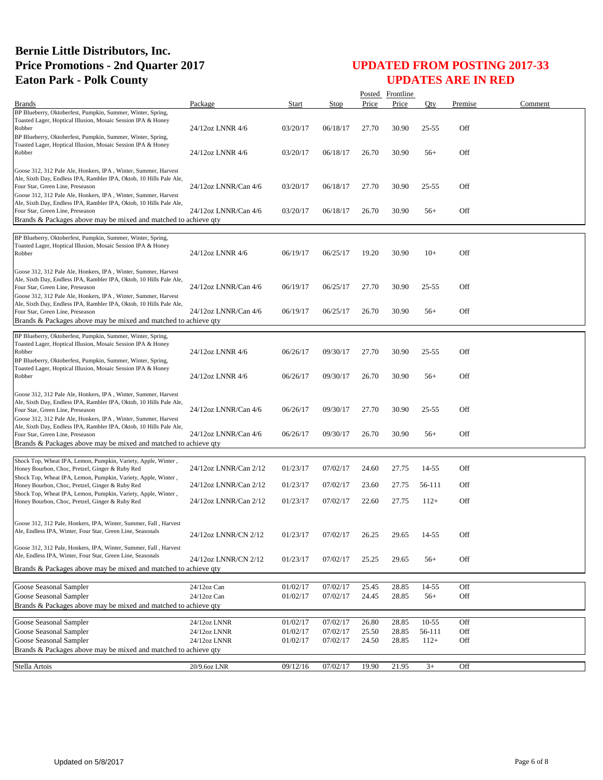|                                                                                                                                                                                                                                             |                                              |                                  |                                  |                         | Posted Frontline        |                               |                   |         |
|---------------------------------------------------------------------------------------------------------------------------------------------------------------------------------------------------------------------------------------------|----------------------------------------------|----------------------------------|----------------------------------|-------------------------|-------------------------|-------------------------------|-------------------|---------|
| <b>Brands</b>                                                                                                                                                                                                                               | Package                                      | Start                            | Stop                             | Price                   | Price                   | Oty                           | Premise           | Comment |
| BP Blueberry, Oktoberfest, Pumpkin, Summer, Winter, Spring,<br>Toasted Lager, Hoptical Illusion, Mosaic Session IPA & Honey<br>Robber<br>BP Blueberry, Oktoberfest, Pumpkin, Summer, Winter, Spring,                                        | 24/12oz LNNR 4/6                             | 03/20/17                         | 06/18/17                         | 27.70                   | 30.90                   | $25 - 55$                     | Off               |         |
| Toasted Lager, Hoptical Illusion, Mosaic Session IPA & Honey<br>Robber                                                                                                                                                                      | 24/12oz LNNR 4/6                             | 03/20/17                         | 06/18/17                         | 26.70                   | 30.90                   | $56+$                         | Off               |         |
| Goose 312, 312 Pale Ale, Honkers, IPA, Winter, Summer, Harvest<br>Ale, Sixth Day, Endless IPA, Rambler IPA, Oktob, 10 Hills Pale Ale,<br>Four Star, Green Line, Preseason<br>Goose 312, 312 Pale Ale, Honkers, IPA, Winter, Summer, Harvest | 24/12oz LNNR/Can 4/6                         | 03/20/17                         | 06/18/17                         | 27.70                   | 30.90                   | $25 - 55$                     | Off               |         |
| Ale, Sixth Day, Endless IPA, Rambler IPA, Oktob, 10 Hills Pale Ale,<br>Four Star, Green Line, Preseason<br>Brands & Packages above may be mixed and matched to achieve qty                                                                  | 24/12oz LNNR/Can 4/6                         | 03/20/17                         | 06/18/17                         | 26.70                   | 30.90                   | $56+$                         | Off               |         |
| BP Blueberry, Oktoberfest, Pumpkin, Summer, Winter, Spring,                                                                                                                                                                                 |                                              |                                  |                                  |                         |                         |                               |                   |         |
| Toasted Lager, Hoptical Illusion, Mosaic Session IPA & Honey<br>Robber                                                                                                                                                                      | 24/12oz LNNR 4/6                             | 06/19/17                         | 06/25/17                         | 19.20                   | 30.90                   | $10+$                         | Off               |         |
| Goose 312, 312 Pale Ale, Honkers, IPA, Winter, Summer, Harvest<br>Ale, Sixth Day, Endless IPA, Rambler IPA, Oktob, 10 Hills Pale Ale,<br>Four Star, Green Line, Preseason<br>Goose 312, 312 Pale Ale, Honkers, IPA, Winter, Summer, Harvest | 24/12oz LNNR/Can 4/6                         | 06/19/17                         | 06/25/17                         | 27.70                   | 30.90                   | $25 - 55$                     | Off               |         |
| Ale, Sixth Day, Endless IPA, Rambler IPA, Oktob, 10 Hills Pale Ale,<br>Four Star, Green Line, Preseason<br>Brands & Packages above may be mixed and matched to achieve gty                                                                  | 24/12oz LNNR/Can 4/6                         | 06/19/17                         | 06/25/17                         | 26.70                   | 30.90                   | $56+$                         | Off               |         |
| BP Blueberry, Oktoberfest, Pumpkin, Summer, Winter, Spring,<br>Toasted Lager, Hoptical Illusion, Mosaic Session IPA & Honey<br>Robber<br>BP Blueberry, Oktoberfest, Pumpkin, Summer, Winter, Spring,                                        | 24/12oz LNNR 4/6                             | 06/26/17                         | 09/30/17                         | 27.70                   | 30.90                   | $25 - 55$                     | Off               |         |
| Toasted Lager, Hoptical Illusion, Mosaic Session IPA & Honey<br>Robber                                                                                                                                                                      | 24/12oz LNNR 4/6                             | 06/26/17                         | 09/30/17                         | 26.70                   | 30.90                   | $56+$                         | Off               |         |
| Goose 312, 312 Pale Ale, Honkers, IPA, Winter, Summer, Harvest<br>Ale, Sixth Day, Endless IPA, Rambler IPA, Oktob, 10 Hills Pale Ale,<br>Four Star, Green Line, Preseason<br>Goose 312, 312 Pale Ale, Honkers, IPA, Winter, Summer, Harvest | 24/12oz LNNR/Can 4/6                         | 06/26/17                         | 09/30/17                         | 27.70                   | 30.90                   | $25 - 55$                     | Off               |         |
| Ale, Sixth Day, Endless IPA, Rambler IPA, Oktob, 10 Hills Pale Ale,<br>Four Star, Green Line, Preseason<br>Brands & Packages above may be mixed and matched to achieve qty                                                                  | 24/12oz LNNR/Can 4/6                         | 06/26/17                         | 09/30/17                         | 26.70                   | 30.90                   | $56+$                         | Off               |         |
|                                                                                                                                                                                                                                             |                                              |                                  |                                  |                         |                         |                               |                   |         |
| Shock Top, Wheat IPA, Lemon, Pumpkin, Variety, Apple, Winter,<br>Honey Bourbon, Choc, Pretzel, Ginger & Ruby Red<br>Shock Top, Wheat IPA, Lemon, Pumpkin, Variety, Apple, Winter,                                                           | 24/12oz LNNR/Can 2/12                        | 01/23/17                         | 07/02/17                         | 24.60                   | 27.75                   | 14-55                         | Off               |         |
| Honey Bourbon, Choc, Pretzel, Ginger & Ruby Red<br>Shock Top, Wheat IPA, Lemon, Pumpkin, Variety, Apple, Winter,                                                                                                                            | 24/12oz LNNR/Can 2/12                        | 01/23/17                         | 07/02/17                         | 23.60                   | 27.75                   | 56-111                        | Off               |         |
| Honey Bourbon, Choc, Pretzel, Ginger & Ruby Red                                                                                                                                                                                             | 24/12oz LNNR/Can 2/12                        | 01/23/17                         | 07/02/17                         | 22.60                   | 27.75                   | $112+$                        | Off               |         |
| Goose 312, 312 Pale, Honkers, IPA, Winter, Summer, Fall, Harvest<br>Ale, Endless IPA, Winter, Four Star, Green Line, Seasonals                                                                                                              | 24/12oz LNNR/CN 2/12                         | 01/23/17                         | 07/02/17                         | 26.25                   | 29.65                   | 14-55                         | Off               |         |
| Goose 312, 312 Pale, Honkers, IPA, Winter, Summer, Fall, Harvest<br>Ale, Endless IPA, Winter, Four Star, Green Line, Seasonals<br>Brands & Packages above may be mixed and matched to achieve qty                                           | 24/12oz LNNR/CN 2/12                         | 01/23/17                         | 07/02/17                         | 25.25                   | 29.65                   | $56+$                         | Off               |         |
|                                                                                                                                                                                                                                             |                                              |                                  |                                  |                         |                         |                               |                   |         |
| Goose Seasonal Sampler<br>Goose Seasonal Sampler<br>Brands & Packages above may be mixed and matched to achieve qty                                                                                                                         | 24/12oz Can<br>24/12oz Can                   | 01/02/17<br>01/02/17             | 07/02/17<br>07/02/17             | 25.45<br>24.45          | 28.85<br>28.85          | $14 - 55$<br>$56+$            | Off<br>Off        |         |
|                                                                                                                                                                                                                                             |                                              |                                  |                                  |                         |                         |                               |                   |         |
| Goose Seasonal Sampler<br>Goose Seasonal Sampler<br>Goose Seasonal Sampler                                                                                                                                                                  | 24/12oz LNNR<br>24/12oz LNNR<br>24/12oz LNNR | 01/02/17<br>01/02/17<br>01/02/17 | 07/02/17<br>07/02/17<br>07/02/17 | 26.80<br>25.50<br>24.50 | 28.85<br>28.85<br>28.85 | $10 - 55$<br>56-111<br>$112+$ | Off<br>Off<br>Off |         |
| Brands & Packages above may be mixed and matched to achieve qty                                                                                                                                                                             |                                              |                                  |                                  |                         |                         |                               |                   |         |
| Stella Artois                                                                                                                                                                                                                               | 20/9.6oz LNR                                 | 09/12/16                         | 07/02/17                         | 19.90                   | 21.95                   | $3+$                          | Off               |         |
|                                                                                                                                                                                                                                             |                                              |                                  |                                  |                         |                         |                               |                   |         |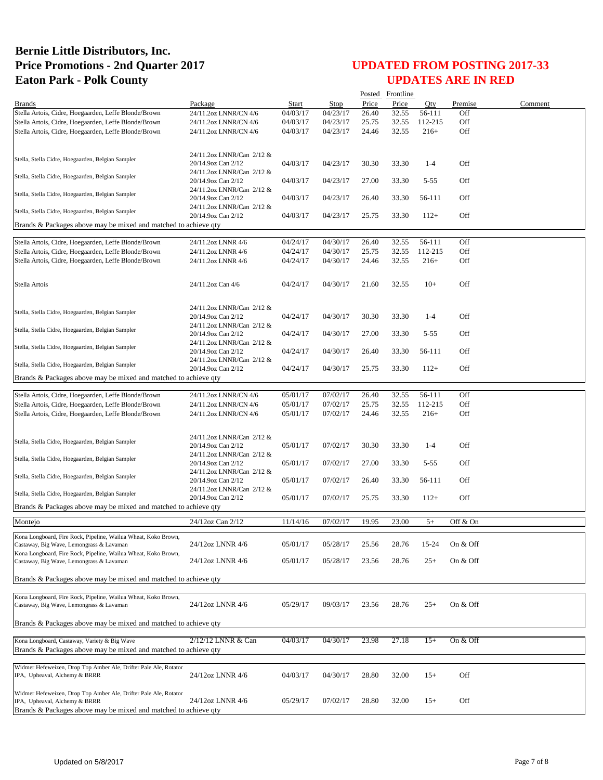|                                                                                                              |                                                 |                      |             |       | Posted Frontline |          |            |         |
|--------------------------------------------------------------------------------------------------------------|-------------------------------------------------|----------------------|-------------|-------|------------------|----------|------------|---------|
| <b>Brands</b>                                                                                                | Package                                         | Start                | <b>Stop</b> | Price | Price            | Oty      | Premise    | Comment |
| Stella Artois, Cidre, Hoegaarden, Leffe Blonde/Brown                                                         | 24/11.2oz LNNR/CN 4/6                           | 04/03/17             | 04/23/17    | 26.40 | 32.55            | 56-111   | Off        |         |
| Stella Artois, Cidre, Hoegaarden, Leffe Blonde/Brown                                                         | 24/11.2oz LNNR/CN 4/6                           | 04/03/17             | 04/23/17    | 25.75 | 32.55            | 112-215  | Off        |         |
| Stella Artois, Cidre, Hoegaarden, Leffe Blonde/Brown                                                         | 24/11.2oz LNNR/CN 4/6                           | 04/03/17             | 04/23/17    | 24.46 | 32.55            | $216+$   | Off        |         |
|                                                                                                              |                                                 |                      |             |       |                  |          |            |         |
| Stella, Stella Cidre, Hoegaarden, Belgian Sampler                                                            | 24/11.2oz LNNR/Can 2/12 &<br>20/14.9oz Can 2/12 | 04/03/17             | 04/23/17    | 30.30 | 33.30            | $1-4$    | Off        |         |
| Stella, Stella Cidre, Hoegaarden, Belgian Sampler                                                            | 24/11.2oz LNNR/Can 2/12 &<br>20/14.9oz Can 2/12 | 04/03/17             | 04/23/17    | 27.00 | 33.30            | $5 - 55$ | Off        |         |
| Stella, Stella Cidre, Hoegaarden, Belgian Sampler                                                            | 24/11.2oz LNNR/Can 2/12 &<br>20/14.9oz Can 2/12 | 04/03/17             | 04/23/17    | 26.40 | 33.30            | 56-111   | Off        |         |
| Stella, Stella Cidre, Hoegaarden, Belgian Sampler                                                            | 24/11.2oz LNNR/Can 2/12 &                       |                      |             |       |                  |          |            |         |
| Brands & Packages above may be mixed and matched to achieve qty                                              | 20/14.9oz Can 2/12                              | 04/03/17             | 04/23/17    | 25.75 | 33.30            | $112+$   | Off        |         |
|                                                                                                              |                                                 |                      |             |       |                  |          |            |         |
| Stella Artois, Cidre, Hoegaarden, Leffe Blonde/Brown                                                         | 24/11.2oz LNNR 4/6                              | 04/24/17             | 04/30/17    | 26.40 | 32.55            | 56-111   | Off        |         |
| Stella Artois, Cidre, Hoegaarden, Leffe Blonde/Brown                                                         | 24/11.2oz LNNR 4/6                              | 04/24/17             | 04/30/17    | 25.75 | 32.55            | 112-215  | Off        |         |
| Stella Artois, Cidre, Hoegaarden, Leffe Blonde/Brown                                                         | 24/11.2oz LNNR 4/6                              | 04/24/17             | 04/30/17    | 24.46 | 32.55            | $216+$   | Off        |         |
|                                                                                                              |                                                 |                      |             |       |                  |          |            |         |
| Stella Artois                                                                                                | 24/11.2oz Can 4/6                               | 04/24/17             | 04/30/17    | 21.60 | 32.55            | $10+$    | Off        |         |
|                                                                                                              | 24/11.2oz LNNR/Can 2/12 &                       |                      |             |       |                  |          |            |         |
| Stella, Stella Cidre, Hoegaarden, Belgian Sampler                                                            | 20/14.9oz Can 2/12                              | 04/24/17             | 04/30/17    | 30.30 | 33.30            | $1 - 4$  | Off        |         |
| Stella, Stella Cidre, Hoegaarden, Belgian Sampler                                                            | 24/11.2oz LNNR/Can 2/12 &                       | 04/24/17             | 04/30/17    | 27.00 | 33.30            | $5 - 55$ | Off        |         |
|                                                                                                              | 20/14.9oz Can 2/12<br>24/11.2oz LNNR/Can 2/12 & |                      |             |       |                  |          |            |         |
| Stella, Stella Cidre, Hoegaarden, Belgian Sampler                                                            | 20/14.9oz Can 2/12<br>24/11.2oz LNNR/Can 2/12 & | 04/24/17             | 04/30/17    | 26.40 | 33.30            | 56-111   | Off        |         |
| Stella, Stella Cidre, Hoegaarden, Belgian Sampler                                                            | 20/14.9oz Can 2/12                              | 04/24/17             | 04/30/17    | 25.75 | 33.30            | $112+$   | Off        |         |
| Brands & Packages above may be mixed and matched to achieve qty                                              |                                                 |                      |             |       |                  |          |            |         |
|                                                                                                              | 24/11.2oz LNNR/CN 4/6                           | 05/01/17             | 07/02/17    | 26.40 | 32.55            | 56-111   | Off        |         |
| Stella Artois, Cidre, Hoegaarden, Leffe Blonde/Brown                                                         |                                                 |                      | 07/02/17    | 25.75 |                  | 112-215  | Off        |         |
| Stella Artois, Cidre, Hoegaarden, Leffe Blonde/Brown<br>Stella Artois, Cidre, Hoegaarden, Leffe Blonde/Brown | 24/11.2oz LNNR/CN 4/6<br>24/11.2oz LNNR/CN 4/6  | 05/01/17<br>05/01/17 | 07/02/17    | 24.46 | 32.55<br>32.55   | $216+$   | Off        |         |
|                                                                                                              |                                                 |                      |             |       |                  |          |            |         |
|                                                                                                              | 24/11.2oz LNNR/Can 2/12 &                       |                      |             |       |                  |          |            |         |
| Stella, Stella Cidre, Hoegaarden, Belgian Sampler                                                            | 20/14.9oz Can 2/12                              | 05/01/17             | 07/02/17    | 30.30 | 33.30            | $1-4$    | Off        |         |
| Stella, Stella Cidre, Hoegaarden, Belgian Sampler                                                            | 24/11.2oz LNNR/Can 2/12 &<br>20/14.9oz Can 2/12 | 05/01/17             | 07/02/17    | 27.00 | 33.30            | $5 - 55$ | Off        |         |
| Stella, Stella Cidre, Hoegaarden, Belgian Sampler                                                            | 24/11.2oz LNNR/Can 2/12 &                       |                      |             |       |                  |          |            |         |
|                                                                                                              | 20/14.9oz Can 2/12<br>24/11.2oz LNNR/Can 2/12 & | 05/01/17             | 07/02/17    | 26.40 | 33.30            | 56-111   | Off        |         |
| Stella, Stella Cidre, Hoegaarden, Belgian Sampler                                                            | 20/14.9oz Can 2/12                              | 05/01/17             | 07/02/17    | 25.75 | 33.30            | $112+$   | Off        |         |
| Brands & Packages above may be mixed and matched to achieve qty                                              |                                                 |                      |             |       |                  |          |            |         |
| Montejo                                                                                                      | 24/12oz Can 2/12                                | 11/14/16             | 07/02/17    | 19.95 | 23.00            | $5+$     | Off & On   |         |
| Kona Longboard, Fire Rock, Pipeline, Wailua Wheat, Koko Brown,                                               |                                                 |                      |             |       |                  |          |            |         |
| Castaway, Big Wave, Lemongrass & Lavaman<br>Kona Longboard, Fire Rock, Pipeline, Wailua Wheat, Koko Brown,   | 24/12oz LNNR 4/6                                | 05/01/17             | 05/28/17    | 25.56 | 28.76            | 15-24    | On & Off   |         |
| Castaway, Big Wave, Lemongrass & Lavaman                                                                     | 24/12oz LNNR 4/6                                | 05/01/17             | 05/28/17    | 23.56 | 28.76            | $25+$    | On & Off   |         |
| Brands & Packages above may be mixed and matched to achieve qty                                              |                                                 |                      |             |       |                  |          |            |         |
|                                                                                                              |                                                 |                      |             |       |                  |          |            |         |
| Kona Longboard, Fire Rock, Pipeline, Wailua Wheat, Koko Brown,                                               |                                                 |                      |             |       |                  |          |            |         |
| Castaway, Big Wave, Lemongrass & Lavaman                                                                     | 24/12oz LNNR 4/6                                | 05/29/17             | 09/03/17    | 23.56 | 28.76            | $^{25+}$ | On $&$ Off |         |
| Brands & Packages above may be mixed and matched to achieve qty                                              |                                                 |                      |             |       |                  |          |            |         |
| Kona Longboard, Castaway, Variety & Big Wave                                                                 | 2/12/12 LNNR & Can                              | 04/03/17             | 04/30/17    | 23.98 | 27.18            | $15+$    | On & Off   |         |
| Brands & Packages above may be mixed and matched to achieve qty                                              |                                                 |                      |             |       |                  |          |            |         |
|                                                                                                              |                                                 |                      |             |       |                  |          |            |         |
| Widmer Hefeweizen, Drop Top Amber Ale, Drifter Pale Ale, Rotator<br>IPA, Upheaval, Alchemy & BRRR            | 24/12oz LNNR 4/6                                | 04/03/17             | 04/30/17    | 28.80 | 32.00            | $15+$    | Off        |         |
|                                                                                                              |                                                 |                      |             |       |                  |          |            |         |
| Widmer Hefeweizen, Drop Top Amber Ale, Drifter Pale Ale, Rotator<br>IPA, Upheaval, Alchemy & BRRR            | 24/12oz LNNR 4/6                                |                      | 07/02/17    | 28.80 | 32.00            | $15+$    | Off        |         |
| Brands & Packages above may be mixed and matched to achieve qty                                              |                                                 | 05/29/17             |             |       |                  |          |            |         |